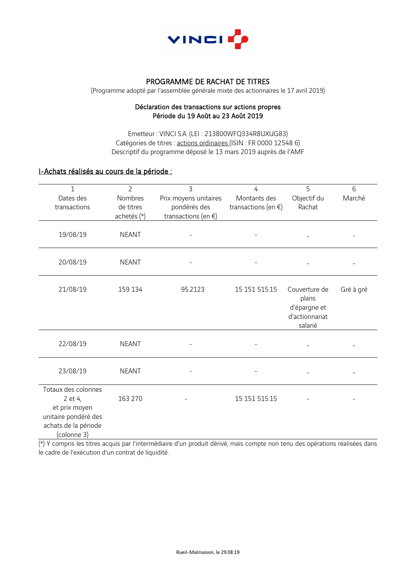

# PROGRAMME DE RACHAT DE TITRES

(Programme adopté par l'assemblée générale mixte des actionnaires le 17 avril 2019)

#### Déclaration des transactions sur actions propres Période du 19 Août au 23 Août 2019

Emetteur : VINCI S.A. (LEI : 213800WFQ334R8UXUG83) Catégories de titres : actions ordinaires (ISIN : FR 0000 12548 6) Descriptif du programme déposé le 13 mars 2019 auprès de l'AMF

### I-Achats réalisés au cours de la période :

| 1                                                                                       | $\overline{2}$ | 3                        | 4                        | 5                                                        | 6         |
|-----------------------------------------------------------------------------------------|----------------|--------------------------|--------------------------|----------------------------------------------------------|-----------|
| Dates des                                                                               | Nombres        | Prix moyens unitaires    | Montants des             | Objectif du                                              | Marché    |
| transactions                                                                            | de titres      | pondérés des             | transactions (en $\xi$ ) | Rachat                                                   |           |
|                                                                                         | achetés (*)    | transactions (en $\xi$ ) |                          |                                                          |           |
| 19/08/19                                                                                | <b>NEANT</b>   |                          |                          |                                                          |           |
| 20/08/19                                                                                | <b>NEANT</b>   |                          |                          |                                                          |           |
| 21/08/19                                                                                | 159 134        | 95.2123                  | 15 151 515.15            | Couverture de<br>plans<br>d'épargne et<br>d'actionnariat | Gré à gré |
|                                                                                         |                |                          |                          | salarié                                                  |           |
| 22/08/19                                                                                | <b>NEANT</b>   |                          |                          |                                                          |           |
| 23/08/19                                                                                | <b>NEANT</b>   |                          |                          |                                                          |           |
| Totaux des colonnes                                                                     |                |                          |                          |                                                          |           |
| 2 et 4,<br>et prix moyen<br>unitaire pondéré des<br>achats de la période<br>(colonne 3) | 163 270        |                          | 15 151 515.15            |                                                          |           |

(\*) Y compris les titres acquis par l'intermédiaire d'un produit dérivé, mais compte non tenu des opérations réalisées dans le cadre de l'exécution d'un contrat de liquidité.